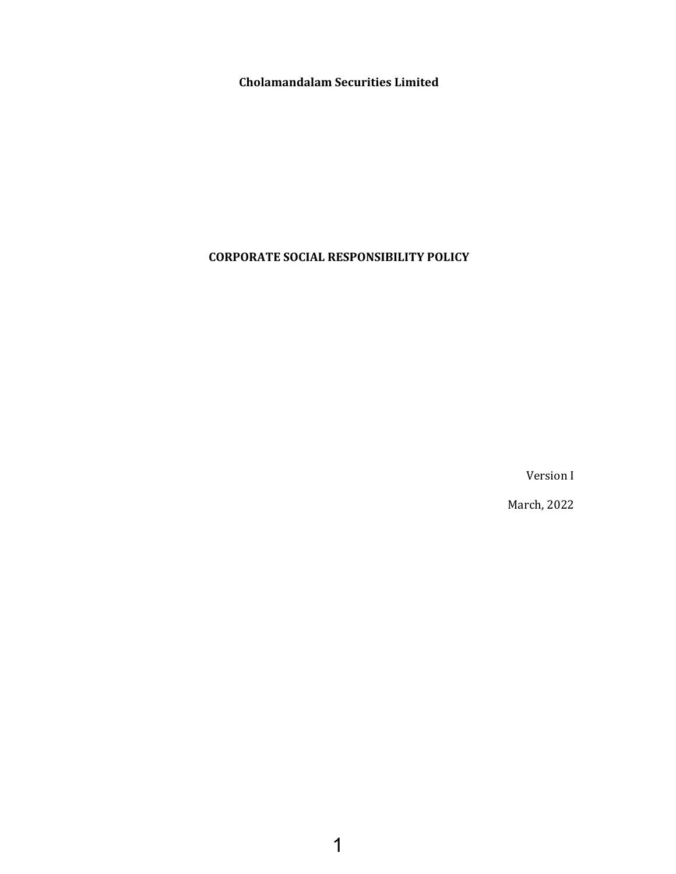**Cholamandalam Securities Limited**

# **CORPORATE SOCIAL RESPONSIBILITY POLICY**

Version I

March, 2022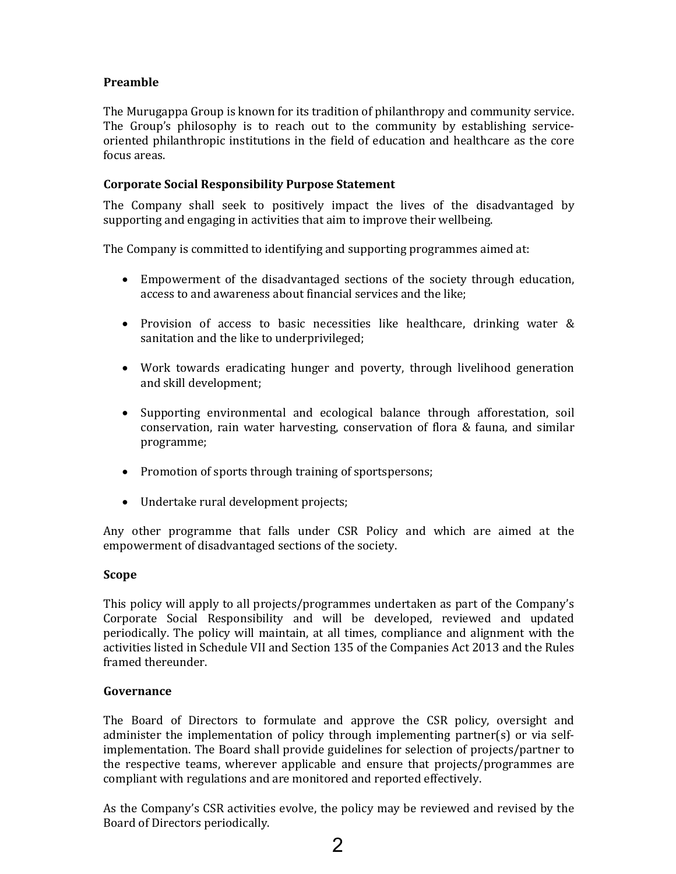# **Preamble**

The Murugappa Group is known for its tradition of philanthropy and community service. The Group's philosophy is to reach out to the community by establishing serviceoriented philanthropic institutions in the field of education and healthcare as the core focus areas.

## **Corporate Social Responsibility Purpose Statement**

The Company shall seek to positively impact the lives of the disadvantaged by supporting and engaging in activities that aim to improve their wellbeing.

The Company is committed to identifying and supporting programmes aimed at:

- Empowerment of the disadvantaged sections of the society through education, access to and awareness about financial services and the like;
- Provision of access to basic necessities like healthcare, drinking water & sanitation and the like to underprivileged;
- Work towards eradicating hunger and poverty, through livelihood generation and skill development;
- Supporting environmental and ecological balance through afforestation, soil conservation, rain water harvesting, conservation of flora & fauna, and similar programme;
- Promotion of sports through training of sportspersons;
- Undertake rural development projects;

Any other programme that falls under CSR Policy and which are aimed at the empowerment of disadvantaged sections of the society.

### **Scope**

This policy will apply to all projects/programmes undertaken as part of the Company's Corporate Social Responsibility and will be developed, reviewed and updated periodically. The policy will maintain, at all times, compliance and alignment with the activities listed in Schedule VII and Section 135 of the Companies Act 2013 and the Rules framed thereunder.

### **Governance**

The Board of Directors to formulate and approve the CSR policy, oversight and administer the implementation of policy through implementing partner(s) or via selfimplementation. The Board shall provide guidelines for selection of projects/partner to the respective teams, wherever applicable and ensure that projects/programmes are compliant with regulations and are monitored and reported effectively.

As the Company's CSR activities evolve, the policy may be reviewed and revised by the Board of Directors periodically.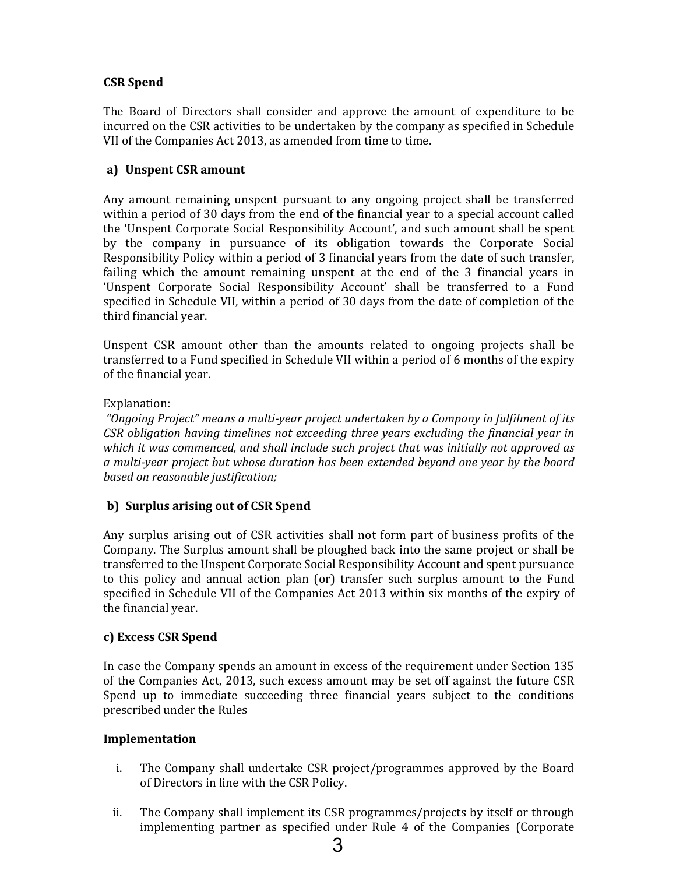## **CSR Spend**

The Board of Directors shall consider and approve the amount of expenditure to be incurred on the CSR activities to be undertaken by the company as specified in Schedule VII of the Companies Act 2013, as amended from time to time.

#### **a) Unspent CSR amount**

Any amount remaining unspent pursuant to any ongoing project shall be transferred within a period of 30 days from the end of the financial year to a special account called the 'Unspent Corporate Social Responsibility Account', and such amount shall be spent by the company in pursuance of its obligation towards the Corporate Social Responsibility Policy within a period of 3 financial years from the date of such transfer, failing which the amount remaining unspent at the end of the 3 financial years in 'Unspent Corporate Social Responsibility Account' shall be transferred to a Fund specified in Schedule VII, within a period of 30 days from the date of completion of the third financial year.

Unspent CSR amount other than the amounts related to ongoing projects shall be transferred to a Fund specified in Schedule VII within a period of 6 months of the expiry of the financial year.

#### Explanation:

*"Ongoing Project" means a multi‐year project undertaken by a Company in fulfilment of its CSR obligation having timelines not exceeding three years excluding the financial year in which it was commenced, and shall include such project that was initially not approved as a multi‐year project but whose duration has been extended beyond one year by the board based on reasonable justification;*

### **b) Surplus arising out of CSR Spend**

Any surplus arising out of CSR activities shall not form part of business profits of the Company. The Surplus amount shall be ploughed back into the same project or shall be transferred to the Unspent Corporate Social Responsibility Account and spent pursuance to this policy and annual action plan (or) transfer such surplus amount to the Fund specified in Schedule VII of the Companies Act 2013 within six months of the expiry of the financial year.

### **c) Excess CSR Spend**

In case the Company spends an amount in excess of the requirement under Section 135 of the Companies Act, 2013, such excess amount may be set off against the future CSR Spend up to immediate succeeding three financial years subject to the conditions prescribed under the Rules

#### **Implementation**

- i. The Company shall undertake CSR project/programmes approved by the Board of Directors in line with the CSR Policy.
- ii. The Company shall implement its CSR programmes/projects by itself or through implementing partner as specified under Rule 4 of the Companies (Corporate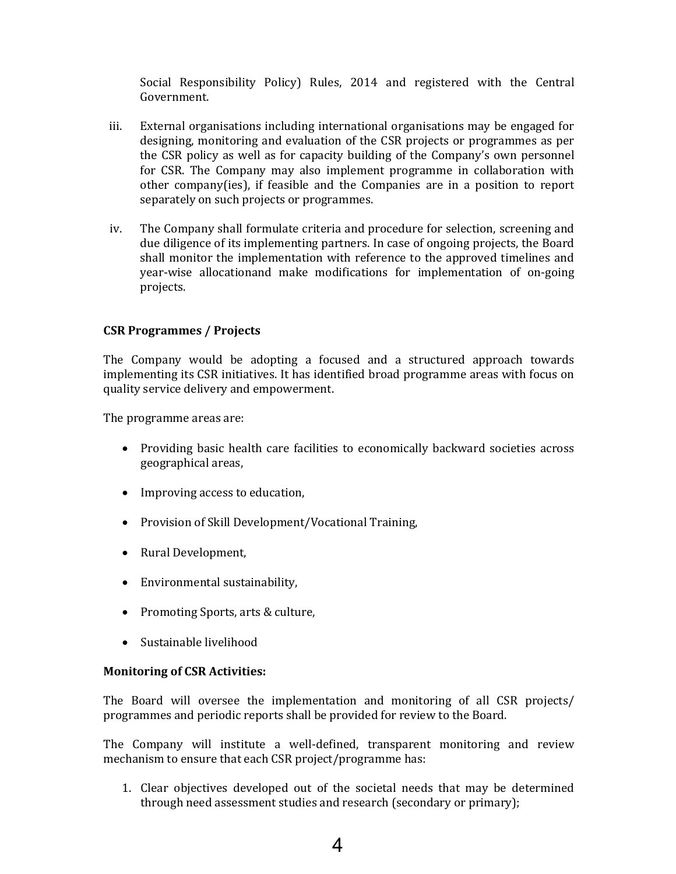Social Responsibility Policy) Rules, 2014 and registered with the Central Government.

- iii. External organisations including international organisations may be engaged for designing, monitoring and evaluation of the CSR projects or programmes as per the CSR policy as well as for capacity building of the Company's own personnel for CSR. The Company may also implement programme in collaboration with other company(ies), if feasible and the Companies are in a position to report separately on such projects or programmes.
- iv. The Company shall formulate criteria and procedure for selection, screening and due diligence of its implementing partners. In case of ongoing projects, the Board shall monitor the implementation with reference to the approved timelines and year-wise allocationand make modifications for implementation of on-going projects.

#### **CSR Programmes / Projects**

The Company would be adopting a focused and a structured approach towards implementing its CSR initiatives. It has identified broad programme areas with focus on quality service delivery and empowerment.

The programme areas are:

- Providing basic health care facilities to economically backward societies across geographical areas,
- Improving access to education,
- Provision of Skill Development/Vocational Training,
- Rural Development,
- Environmental sustainability,
- Promoting Sports, arts & culture,
- Sustainable livelihood

#### **Monitoring of CSR Activities:**

The Board will oversee the implementation and monitoring of all CSR projects/ programmes and periodic reports shall be provided for review to the Board.

The Company will institute a well-defined, transparent monitoring and review mechanism to ensure that each CSR project/programme has:

- 1. Clear objectives developed out of the societal needs that may be determined through need assessment studies and research (secondary or primary);
	- 4